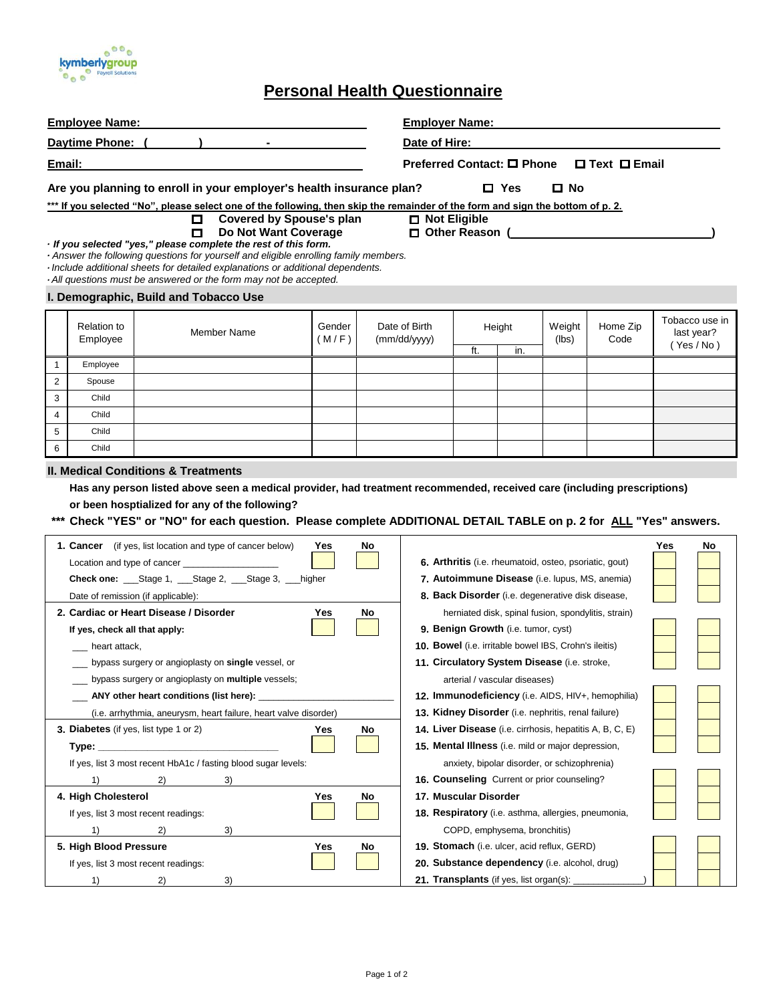

## **Personal Health Questionnaire**

| <b>Employee Name:</b>                                            |                                                                                             |                                                                                                                                                                                                                                                                                                                                                                                         |                 |                                                                 | Employer Name: The contract of the contract of the contract of the contract of the contract of the contract of the contract of the contract of the contract of the contract of the contract of the contract of the contract of |                      |               |                       |                  |                                          |  |
|------------------------------------------------------------------|---------------------------------------------------------------------------------------------|-----------------------------------------------------------------------------------------------------------------------------------------------------------------------------------------------------------------------------------------------------------------------------------------------------------------------------------------------------------------------------------------|-----------------|-----------------------------------------------------------------|--------------------------------------------------------------------------------------------------------------------------------------------------------------------------------------------------------------------------------|----------------------|---------------|-----------------------|------------------|------------------------------------------|--|
|                                                                  |                                                                                             |                                                                                                                                                                                                                                                                                                                                                                                         |                 |                                                                 | Date of Hire:                                                                                                                                                                                                                  |                      |               |                       |                  |                                          |  |
| Email:                                                           |                                                                                             |                                                                                                                                                                                                                                                                                                                                                                                         |                 |                                                                 | Preferred Contact: □ Phone □ Text □ Email                                                                                                                                                                                      |                      |               |                       |                  |                                          |  |
|                                                                  |                                                                                             | Are you planning to enroll in your employer's health insurance plan?<br>*** If you selected "No", please select one of the following, then skip the remainder of the form and sign the bottom of p. 2.                                                                                                                                                                                  |                 |                                                                 |                                                                                                                                                                                                                                |                      | $\square$ Yes | $\Box$ No             |                  |                                          |  |
|                                                                  |                                                                                             | <b>Covered by Spouse's plan</b><br>$\Box$<br>Do Not Want Coverage<br>О<br>If you selected "yes," please complete the rest of this form.<br>- Answer the following questions for yourself and eligible enrolling family members.<br>· Include additional sheets for detailed explanations or additional dependents.<br>· All questions must be answered or the form may not be accepted. |                 |                                                                 | $\Box$ Not Eligible                                                                                                                                                                                                            |                      |               | □ Other Reason (<br>□ |                  |                                          |  |
|                                                                  |                                                                                             | I. Demographic, Build and Tobacco Use                                                                                                                                                                                                                                                                                                                                                   |                 |                                                                 |                                                                                                                                                                                                                                |                      |               |                       |                  |                                          |  |
|                                                                  | <b>Relation to</b><br>Employee                                                              | <b>Member Name</b>                                                                                                                                                                                                                                                                                                                                                                      | Gender<br>(M/F) | Date of Birth<br>(mm/dd/yyyy)                                   |                                                                                                                                                                                                                                | Height<br>ft.<br>in. |               | Weight<br>(lbs)       | Home Zip<br>Code | Tobacco use in<br>last year?<br>(Yes/No) |  |
| $\mathbf{1}$                                                     | Employee                                                                                    |                                                                                                                                                                                                                                                                                                                                                                                         |                 |                                                                 |                                                                                                                                                                                                                                |                      |               |                       |                  |                                          |  |
| 2                                                                | Spouse                                                                                      |                                                                                                                                                                                                                                                                                                                                                                                         |                 |                                                                 |                                                                                                                                                                                                                                |                      |               |                       |                  |                                          |  |
| 3                                                                | Child                                                                                       |                                                                                                                                                                                                                                                                                                                                                                                         |                 |                                                                 |                                                                                                                                                                                                                                |                      |               |                       |                  |                                          |  |
| $\overline{4}$                                                   | Child                                                                                       |                                                                                                                                                                                                                                                                                                                                                                                         |                 |                                                                 |                                                                                                                                                                                                                                |                      |               |                       |                  |                                          |  |
| 5                                                                | Child                                                                                       |                                                                                                                                                                                                                                                                                                                                                                                         |                 |                                                                 |                                                                                                                                                                                                                                |                      |               |                       |                  |                                          |  |
| 6                                                                | Child                                                                                       |                                                                                                                                                                                                                                                                                                                                                                                         |                 |                                                                 |                                                                                                                                                                                                                                |                      |               |                       |                  |                                          |  |
|                                                                  |                                                                                             | <b>II. Medical Conditions &amp; Treatments</b>                                                                                                                                                                                                                                                                                                                                          |                 |                                                                 |                                                                                                                                                                                                                                |                      |               |                       |                  |                                          |  |
|                                                                  |                                                                                             | Has any person listed above seen a medical provider, had treatment recommended, received care (including prescriptions)                                                                                                                                                                                                                                                                 |                 |                                                                 |                                                                                                                                                                                                                                |                      |               |                       |                  |                                          |  |
|                                                                  |                                                                                             | or been hosptialized for any of the following?                                                                                                                                                                                                                                                                                                                                          |                 |                                                                 |                                                                                                                                                                                                                                |                      |               |                       |                  |                                          |  |
|                                                                  |                                                                                             | *** Check "YES" or "NO" for each question. Please complete ADDITIONAL DETAIL TABLE on p. 2 for ALL "Yes" answers.                                                                                                                                                                                                                                                                       |                 |                                                                 |                                                                                                                                                                                                                                |                      |               |                       |                  |                                          |  |
|                                                                  | <b>1. Cancer</b> (if yes, list location and type of cancer below)<br>Yes<br>No<br>Yes<br>No |                                                                                                                                                                                                                                                                                                                                                                                         |                 |                                                                 |                                                                                                                                                                                                                                |                      |               |                       |                  |                                          |  |
|                                                                  |                                                                                             | Location and type of cancer                                                                                                                                                                                                                                                                                                                                                             |                 |                                                                 | 6. Arthritis (i.e. rheumatoid, osteo, psoriatic, gout)                                                                                                                                                                         |                      |               |                       |                  |                                          |  |
| Check one: ___Stage 1, ___Stage 2, ___Stage 3, ___higher         |                                                                                             |                                                                                                                                                                                                                                                                                                                                                                                         |                 | 7. Autoimmune Disease (i.e. lupus, MS, anemia)                  |                                                                                                                                                                                                                                |                      |               |                       |                  |                                          |  |
| Date of remission (if applicable):                               |                                                                                             |                                                                                                                                                                                                                                                                                                                                                                                         |                 | 8. Back Disorder (i.e. degenerative disk disease,               |                                                                                                                                                                                                                                |                      |               |                       |                  |                                          |  |
|                                                                  |                                                                                             | 2. Cardiac or Heart Disease / Disorder                                                                                                                                                                                                                                                                                                                                                  | Yes             | No                                                              | herniated disk, spinal fusion, spondylitis, strain)                                                                                                                                                                            |                      |               |                       |                  |                                          |  |
| If yes, check all that apply:                                    |                                                                                             |                                                                                                                                                                                                                                                                                                                                                                                         |                 | 9. Benign Growth (i.e. tumor, cyst)                             |                                                                                                                                                                                                                                |                      |               |                       |                  |                                          |  |
| heart attack,                                                    |                                                                                             |                                                                                                                                                                                                                                                                                                                                                                                         |                 | 10. Bowel (i.e. irritable bowel IBS, Crohn's ileitis)           |                                                                                                                                                                                                                                |                      |               |                       |                  |                                          |  |
| bypass surgery or angioplasty on single vessel, or               |                                                                                             |                                                                                                                                                                                                                                                                                                                                                                                         |                 |                                                                 | 11. Circulatory System Disease (i.e. stroke,                                                                                                                                                                                   |                      |               |                       |                  |                                          |  |
| bypass surgery or angioplasty on multiple vessels;               |                                                                                             |                                                                                                                                                                                                                                                                                                                                                                                         |                 |                                                                 | arterial / vascular diseases)                                                                                                                                                                                                  |                      |               |                       |                  |                                          |  |
| __ ANY other heart conditions (list here): ____                  |                                                                                             |                                                                                                                                                                                                                                                                                                                                                                                         |                 |                                                                 | 12. Immunodeficiency (i.e. AIDS, HIV+, hemophilia)                                                                                                                                                                             |                      |               |                       |                  |                                          |  |
| (i.e. arrhythmia, aneurysm, heart failure, heart valve disorder) |                                                                                             |                                                                                                                                                                                                                                                                                                                                                                                         |                 |                                                                 | 13. Kidney Disorder (i.e. nephritis, renal failure)                                                                                                                                                                            |                      |               |                       |                  |                                          |  |
| <b>3. Diabetes</b> (if yes, list type 1 or 2)<br>Yes<br>No       |                                                                                             |                                                                                                                                                                                                                                                                                                                                                                                         |                 | <b>14. Liver Disease</b> (i.e. cirrhosis, hepatitis A, B, C, E) |                                                                                                                                                                                                                                |                      |               |                       |                  |                                          |  |
| Type: __________________                                         |                                                                                             |                                                                                                                                                                                                                                                                                                                                                                                         |                 | 15. Mental Illness (i.e. mild or major depression,              |                                                                                                                                                                                                                                |                      |               |                       |                  |                                          |  |
| If yes, list 3 most recent HbA1c / fasting blood sugar levels:   |                                                                                             |                                                                                                                                                                                                                                                                                                                                                                                         |                 | anxiety, bipolar disorder, or schizophrenia)                    |                                                                                                                                                                                                                                |                      |               |                       |                  |                                          |  |

1) 2) 3) **16. Counseling** Current or prior counseling?

If yes, list 3 most recent readings: **18. 18. Respiratory** (i.e. asthma, allergies, pneumonia, 1) 2) 3) 3) 3 COPD, emphysema, bronchitis) **5. High Blood Pressure Yes No 19. Stomach** (i.e. ulcer, acid reflux, GERD) If yes, list 3 most recent readings: **20. Substance dependency** (i.e. alcohol, drug) 1) 2) 3) 3) **21. Transplants** (if yes, list organ(s):

**4. High Cholesterol Yes No 17. Muscular Disorder**